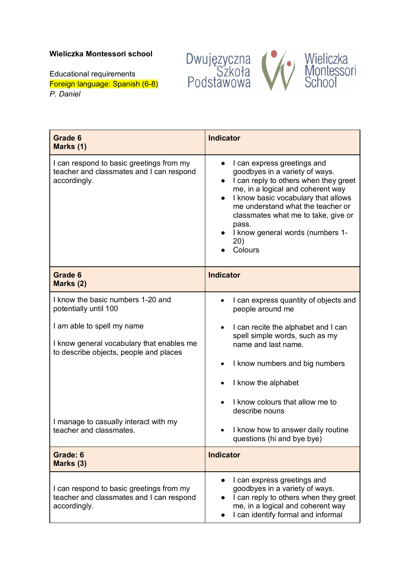## **Wieliczka Montessori school**

Dwujęzyczna<br>Szkoła<br>Podstawowa Wieliczka<br>Montessori<br>School

Educational requirements Foreign language: Spanish (6-8) *P. Daniel*

| Grade 6<br>Marks (1)                                                                                              | <b>Indicator</b>                                                                                                                                                                                                                                                                                                                                        |
|-------------------------------------------------------------------------------------------------------------------|---------------------------------------------------------------------------------------------------------------------------------------------------------------------------------------------------------------------------------------------------------------------------------------------------------------------------------------------------------|
| I can respond to basic greetings from my<br>teacher and classmates and I can respond<br>accordingly.              | I can express greetings and<br>goodbyes in a variety of ways.<br>I can reply to others when they greet<br>$\bullet$<br>me, in a logical and coherent way<br>I know basic vocabulary that allows<br>$\bullet$<br>me understand what the teacher or<br>classmates what me to take, give or<br>pass.<br>I know general words (numbers 1-<br>20)<br>Colours |
| Grade 6<br>Marks (2)                                                                                              | <b>Indicator</b>                                                                                                                                                                                                                                                                                                                                        |
| I know the basic numbers 1-20 and<br>potentially until 100                                                        | I can express quantity of objects and<br>people around me                                                                                                                                                                                                                                                                                               |
| I am able to spell my name<br>I know general vocabulary that enables me<br>to describe objects, people and places | I can recite the alphabet and I can<br>$\bullet$<br>spell simple words, such as my<br>name and last name.                                                                                                                                                                                                                                               |
|                                                                                                                   | I know numbers and big numbers                                                                                                                                                                                                                                                                                                                          |
|                                                                                                                   | I know the alphabet                                                                                                                                                                                                                                                                                                                                     |
|                                                                                                                   | I know colours that allow me to<br>describe nouns                                                                                                                                                                                                                                                                                                       |
| I manage to casually interact with my<br>teacher and classmates.                                                  | I know how to answer daily routine<br>questions (hi and bye bye)                                                                                                                                                                                                                                                                                        |
| Grade: 6<br>Marks (3)                                                                                             | <b>Indicator</b>                                                                                                                                                                                                                                                                                                                                        |
| I can respond to basic greetings from my<br>teacher and classmates and I can respond<br>accordingly.              | I can express greetings and<br>goodbyes in a variety of ways.<br>I can reply to others when they greet<br>me, in a logical and coherent way<br>I can identify formal and informal                                                                                                                                                                       |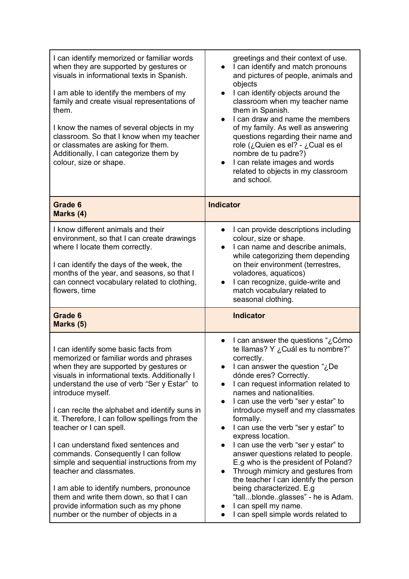| I can identify memorized or familiar words<br>when they are supported by gestures or<br>visuals in informational texts in Spanish.<br>I am able to identify the members of my<br>family and create visual representations of<br>them.<br>I know the names of several objects in my<br>classroom. So that I know when my teacher<br>or classmates are asking for them.<br>Additionally, I can categorize them by<br>colour, size or shape.                                                                                                                                                                                                                                                                     | greetings and their context of use.<br>I can identify and match pronouns<br>and pictures of people, animals and<br>objects<br>I can identify objects around the<br>$\bullet$<br>classroom when my teacher name<br>them in Spanish.<br>I can draw and name the members<br>$\bullet$<br>of my family. As well as answering<br>questions regarding their name and<br>role (¿Quien es el? - ¿Cual es el<br>nombre de tu padre?)<br>I can relate images and words<br>$\bullet$<br>related to objects in my classroom<br>and school.                                                                                                                                                                                                                       |
|---------------------------------------------------------------------------------------------------------------------------------------------------------------------------------------------------------------------------------------------------------------------------------------------------------------------------------------------------------------------------------------------------------------------------------------------------------------------------------------------------------------------------------------------------------------------------------------------------------------------------------------------------------------------------------------------------------------|------------------------------------------------------------------------------------------------------------------------------------------------------------------------------------------------------------------------------------------------------------------------------------------------------------------------------------------------------------------------------------------------------------------------------------------------------------------------------------------------------------------------------------------------------------------------------------------------------------------------------------------------------------------------------------------------------------------------------------------------------|
| Grade 6<br>Marks (4)                                                                                                                                                                                                                                                                                                                                                                                                                                                                                                                                                                                                                                                                                          | <b>Indicator</b>                                                                                                                                                                                                                                                                                                                                                                                                                                                                                                                                                                                                                                                                                                                                     |
| I know different animals and their<br>environment, so that I can create drawings<br>where I locate them correctly.<br>I can identify the days of the week, the<br>months of the year, and seasons, so that I<br>can connect vocabulary related to clothing,<br>flowers, time                                                                                                                                                                                                                                                                                                                                                                                                                                  | I can provide descriptions including<br>colour, size or shape.<br>I can name and describe animals,<br>$\bullet$<br>while categorizing them depending<br>on their environment (terrestres,<br>voladores, aquaticos)<br>I can recognize, guide-write and<br>match vocabulary related to<br>seasonal clothing.                                                                                                                                                                                                                                                                                                                                                                                                                                          |
| Grade 6<br>Marks (5)                                                                                                                                                                                                                                                                                                                                                                                                                                                                                                                                                                                                                                                                                          | <b>Indicator</b>                                                                                                                                                                                                                                                                                                                                                                                                                                                                                                                                                                                                                                                                                                                                     |
| I can identify some basic facts from<br>memorized or familiar words and phrases<br>when they are supported by gestures or<br>visuals in informational texts. Additionally I<br>understand the use of verb "Ser y Estar" to<br>introduce myself.<br>I can recite the alphabet and identify suns in<br>it. Therefore, I can follow spellings from the<br>teacher or I can spell.<br>I can understand fixed sentences and<br>commands. Consequently I can follow<br>simple and sequential instructions from my<br>teacher and classmates.<br>I am able to identify numbers, pronounce<br>them and write them down, so that I can<br>provide information such as my phone<br>number or the number of objects in a | l can answer the questions "¿Cómo<br>$\bullet$<br>te llamas? Y ¿Cuál es tu nombre?"<br>correctly.<br>I can answer the question "¿De<br>dónde eres? Correctly.<br>I can request information related to<br>names and nationalities.<br>I can use the verb "ser y estar" to<br>$\bullet$<br>introduce myself and my classmates<br>formally.<br>I can use the verb "ser y estar" to<br>$\bullet$<br>express location.<br>I can use the verb "ser y estar" to<br>answer questions related to people.<br>E.g who is the president of Poland?<br>Through mimicry and gestures from<br>the teacher I can identify the person<br>being characterized. E.g<br>"tallblondeglasses" - he is Adam.<br>I can spell my name.<br>I can spell simple words related to |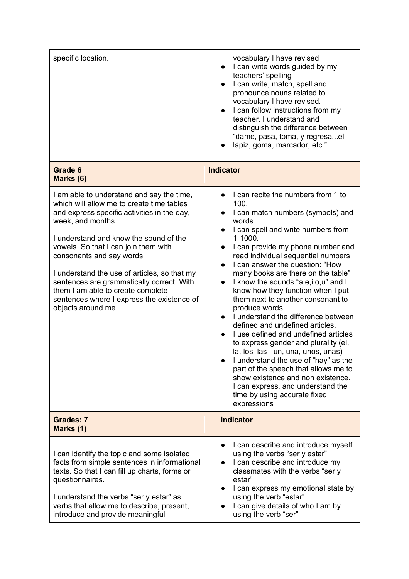| specific location.                                                                                                                                                                                                                                                                                                                                                                                                                                                              | vocabulary I have revised<br>I can write words guided by my<br>$\bullet$<br>teachers' spelling<br>I can write, match, spell and<br>$\bullet$<br>pronounce nouns related to<br>vocabulary I have revised.<br>I can follow instructions from my<br>$\bullet$<br>teacher. I understand and<br>distinguish the difference between<br>"dame, pasa, toma, y regresael<br>lápiz, goma, marcador, etc."                                                                                                                                                                                                                                                                                                                                                                                                                                                                                        |
|---------------------------------------------------------------------------------------------------------------------------------------------------------------------------------------------------------------------------------------------------------------------------------------------------------------------------------------------------------------------------------------------------------------------------------------------------------------------------------|----------------------------------------------------------------------------------------------------------------------------------------------------------------------------------------------------------------------------------------------------------------------------------------------------------------------------------------------------------------------------------------------------------------------------------------------------------------------------------------------------------------------------------------------------------------------------------------------------------------------------------------------------------------------------------------------------------------------------------------------------------------------------------------------------------------------------------------------------------------------------------------|
| Grade 6<br>Marks (6)                                                                                                                                                                                                                                                                                                                                                                                                                                                            | <b>Indicator</b>                                                                                                                                                                                                                                                                                                                                                                                                                                                                                                                                                                                                                                                                                                                                                                                                                                                                       |
| I am able to understand and say the time,<br>which will allow me to create time tables<br>and express specific activities in the day,<br>week, and months.<br>I understand and know the sound of the<br>vowels. So that I can join them with<br>consonants and say words.<br>I understand the use of articles, so that my<br>sentences are grammatically correct. With<br>them I am able to create complete<br>sentences where I express the existence of<br>objects around me. | I can recite the numbers from 1 to<br>100.<br>I can match numbers (symbols) and<br>words.<br>I can spell and write numbers from<br>$1 - 1000.$<br>I can provide my phone number and<br>read individual sequential numbers<br>I can answer the question: "How<br>$\bullet$<br>many books are there on the table"<br>I know the sounds "a,e,i,o,u" and I<br>$\bullet$<br>know how they function when I put<br>them next to another consonant to<br>produce words.<br>I understand the difference between<br>defined and undefined articles.<br>I use defined and undefined articles<br>$\bullet$<br>to express gender and plurality (el,<br>la, los, las - un, una, unos, unas)<br>I understand the use of "hay" as the<br>part of the speech that allows me to<br>show existence and non existence.<br>I can express, and understand the<br>time by using accurate fixed<br>expressions |
| <b>Grades: 7</b><br>Marks (1)                                                                                                                                                                                                                                                                                                                                                                                                                                                   | <b>Indicator</b>                                                                                                                                                                                                                                                                                                                                                                                                                                                                                                                                                                                                                                                                                                                                                                                                                                                                       |
| I can identify the topic and some isolated<br>facts from simple sentences in informational<br>texts. So that I can fill up charts, forms or<br>questionnaires.<br>I understand the verbs "ser y estar" as<br>verbs that allow me to describe, present,<br>introduce and provide meaningful                                                                                                                                                                                      | I can describe and introduce myself<br>$\bullet$<br>using the verbs "ser y estar"<br>I can describe and introduce my<br>classmates with the verbs "ser y<br>estar"<br>I can express my emotional state by<br>using the verb "estar"<br>I can give details of who I am by<br>using the verb "ser"                                                                                                                                                                                                                                                                                                                                                                                                                                                                                                                                                                                       |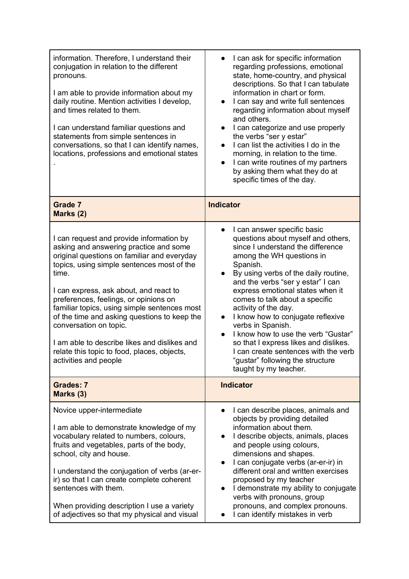| information. Therefore, I understand their<br>conjugation in relation to the different<br>pronouns.<br>I am able to provide information about my<br>daily routine. Mention activities I develop,<br>and times related to them.<br>I can understand familiar questions and<br>statements from simple sentences in<br>conversations, so that I can identify names,<br>locations, professions and emotional states                                                                                                               | I can ask for specific information<br>regarding professions, emotional<br>state, home-country, and physical<br>descriptions. So that I can tabulate<br>information in chart or form.<br>I can say and write full sentences<br>regarding information about myself<br>and others.<br>I can categorize and use properly<br>the verbs "ser y estar"<br>I can list the activities I do in the<br>$\bullet$<br>morning, in relation to the time.<br>I can write routines of my partners<br>$\bullet$<br>by asking them what they do at<br>specific times of the day.                                      |
|-------------------------------------------------------------------------------------------------------------------------------------------------------------------------------------------------------------------------------------------------------------------------------------------------------------------------------------------------------------------------------------------------------------------------------------------------------------------------------------------------------------------------------|-----------------------------------------------------------------------------------------------------------------------------------------------------------------------------------------------------------------------------------------------------------------------------------------------------------------------------------------------------------------------------------------------------------------------------------------------------------------------------------------------------------------------------------------------------------------------------------------------------|
| <b>Grade 7</b><br>Marks (2)                                                                                                                                                                                                                                                                                                                                                                                                                                                                                                   | <b>Indicator</b>                                                                                                                                                                                                                                                                                                                                                                                                                                                                                                                                                                                    |
| I can request and provide information by<br>asking and answering practice and some<br>original questions on familiar and everyday<br>topics, using simple sentences most of the<br>time.<br>I can express, ask about, and react to<br>preferences, feelings, or opinions on<br>familiar topics, using simple sentences most<br>of the time and asking questions to keep the<br>conversation on topic.<br>I am able to describe likes and dislikes and<br>relate this topic to food, places, objects,<br>activities and people | I can answer specific basic<br>$\bullet$<br>questions about myself and others,<br>since I understand the difference<br>among the WH questions in<br>Spanish.<br>By using verbs of the daily routine,<br>$\bullet$<br>and the verbs "ser y estar" I can<br>express emotional states when it<br>comes to talk about a specific<br>activity of the day.<br>I know how to conjugate reflexive<br>verbs in Spanish.<br>I know how to use the verb "Gustar"<br>so that I express likes and dislikes.<br>I can create sentences with the verb<br>"gustar" following the structure<br>taught by my teacher. |
| <b>Grades: 7</b><br>Marks (3)                                                                                                                                                                                                                                                                                                                                                                                                                                                                                                 | <b>Indicator</b>                                                                                                                                                                                                                                                                                                                                                                                                                                                                                                                                                                                    |
| Novice upper-intermediate<br>I am able to demonstrate knowledge of my<br>vocabulary related to numbers, colours,<br>fruits and vegetables, parts of the body,<br>school, city and house.<br>I understand the conjugation of verbs (ar-er-<br>ir) so that I can create complete coherent<br>sentences with them.<br>When providing description I use a variety<br>of adjectives so that my physical and visual                                                                                                                 | I can describe places, animals and<br>$\bullet$<br>objects by providing detailed<br>information about them.<br>I describe objects, animals, places<br>and people using colours,<br>dimensions and shapes.<br>I can conjugate verbs (ar-er-ir) in<br>different oral and written exercises<br>proposed by my teacher<br>I demonstrate my ability to conjugate<br>$\bullet$<br>verbs with pronouns, group<br>pronouns, and complex pronouns.<br>I can identify mistakes in verb                                                                                                                        |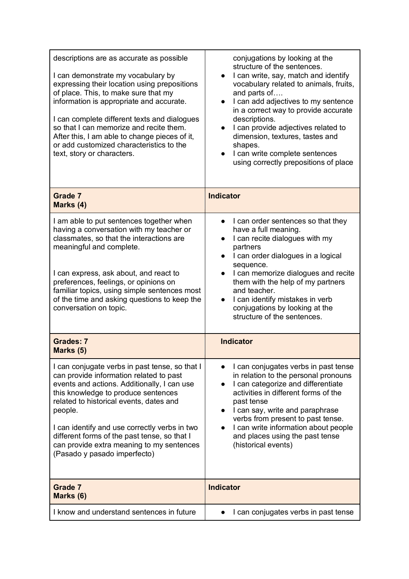| descriptions are as accurate as possible<br>I can demonstrate my vocabulary by<br>expressing their location using prepositions<br>of place. This, to make sure that my<br>information is appropriate and accurate.<br>I can complete different texts and dialogues<br>so that I can memorize and recite them.<br>After this, I am able to change pieces of it,<br>or add customized characteristics to the<br>text, story or characters. | conjugations by looking at the<br>structure of the sentences.<br>I can write, say, match and identify<br>$\bullet$<br>vocabulary related to animals, fruits,<br>and parts of<br>I can add adjectives to my sentence<br>in a correct way to provide accurate<br>descriptions.<br>I can provide adjectives related to<br>dimension, textures, tastes and<br>shapes.<br>I can write complete sentences<br>$\bullet$<br>using correctly prepositions of place |
|------------------------------------------------------------------------------------------------------------------------------------------------------------------------------------------------------------------------------------------------------------------------------------------------------------------------------------------------------------------------------------------------------------------------------------------|-----------------------------------------------------------------------------------------------------------------------------------------------------------------------------------------------------------------------------------------------------------------------------------------------------------------------------------------------------------------------------------------------------------------------------------------------------------|
| <b>Grade 7</b><br>Marks (4)                                                                                                                                                                                                                                                                                                                                                                                                              | <b>Indicator</b>                                                                                                                                                                                                                                                                                                                                                                                                                                          |
| I am able to put sentences together when<br>having a conversation with my teacher or<br>classmates, so that the interactions are<br>meaningful and complete.<br>I can express, ask about, and react to<br>preferences, feelings, or opinions on<br>familiar topics, using simple sentences most<br>of the time and asking questions to keep the<br>conversation on topic.                                                                | I can order sentences so that they<br>have a full meaning.<br>I can recite dialogues with my<br>partners<br>I can order dialogues in a logical<br>sequence.<br>I can memorize dialogues and recite<br>$\bullet$<br>them with the help of my partners<br>and teacher.<br>I can identify mistakes in verb<br>conjugations by looking at the<br>structure of the sentences.                                                                                  |
| <b>Grades: 7</b><br>Marks (5)                                                                                                                                                                                                                                                                                                                                                                                                            | <b>Indicator</b>                                                                                                                                                                                                                                                                                                                                                                                                                                          |
| I can conjugate verbs in past tense, so that I<br>can provide information related to past<br>events and actions. Additionally, I can use<br>this knowledge to produce sentences<br>related to historical events, dates and<br>people.<br>I can identify and use correctly verbs in two<br>different forms of the past tense, so that I<br>can provide extra meaning to my sentences<br>(Pasado y pasado imperfecto)                      | I can conjugates verbs in past tense<br>in relation to the personal pronouns<br>I can categorize and differentiate<br>activities in different forms of the<br>past tense<br>I can say, write and paraphrase<br>$\bullet$<br>verbs from present to past tense.<br>I can write information about people<br>and places using the past tense<br>(historical events)                                                                                           |
| Grade 7<br>Marks (6)                                                                                                                                                                                                                                                                                                                                                                                                                     | <b>Indicator</b>                                                                                                                                                                                                                                                                                                                                                                                                                                          |
| I know and understand sentences in future                                                                                                                                                                                                                                                                                                                                                                                                | I can conjugates verbs in past tense                                                                                                                                                                                                                                                                                                                                                                                                                      |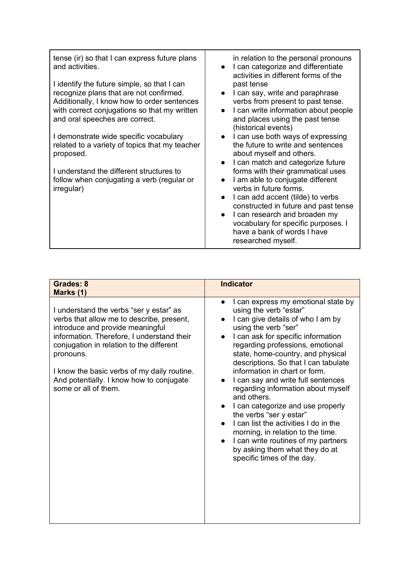| tense (ir) so that I can express future plans<br>and activities.                                                                                                                                                        | in relation to the personal pronouns<br>I can categorize and differentiate<br>$\bullet$<br>activities in different forms of the                                                                        |
|-------------------------------------------------------------------------------------------------------------------------------------------------------------------------------------------------------------------------|--------------------------------------------------------------------------------------------------------------------------------------------------------------------------------------------------------|
| I identify the future simple, so that I can<br>recognize plans that are not confirmed.<br>Additionally, I know how to order sentences<br>with correct conjugations so that my written<br>and oral speeches are correct. | past tense<br>I can say, write and paraphrase<br>verbs from present to past tense.<br>I can write information about people<br>$\bullet$<br>and places using the past tense                             |
| I demonstrate wide specific vocabulary<br>related to a variety of topics that my teacher<br>proposed.                                                                                                                   | (historical events)<br>I can use both ways of expressing<br>the future to write and sentences<br>about myself and others.<br>I can match and categorize future                                         |
| I understand the different structures to<br>follow when conjugating a verb (regular or<br>irregular)                                                                                                                    | forms with their grammatical uses<br>I am able to conjugate different<br>$\bullet$<br>verbs in future forms.<br>I can add accent (tilde) to verbs<br>$\bullet$<br>constructed in future and past tense |

| Grades: 8<br>Marks (1)                                                                                                                                                                                                                                                                                                                             | <b>Indicator</b>                                                                                                                                                                                                                                                                                                                                                                                                                                                                                                                                                                                                                                                                |
|----------------------------------------------------------------------------------------------------------------------------------------------------------------------------------------------------------------------------------------------------------------------------------------------------------------------------------------------------|---------------------------------------------------------------------------------------------------------------------------------------------------------------------------------------------------------------------------------------------------------------------------------------------------------------------------------------------------------------------------------------------------------------------------------------------------------------------------------------------------------------------------------------------------------------------------------------------------------------------------------------------------------------------------------|
| I understand the verbs "ser y estar" as<br>verbs that allow me to describe, present,<br>introduce and provide meaningful<br>information. Therefore, I understand their<br>conjugation in relation to the different<br>pronouns.<br>I know the basic verbs of my daily routine.<br>And potentially. I know how to conjugate<br>some or all of them. | I can express my emotional state by<br>$\bullet$<br>using the verb "estar"<br>I can give details of who I am by<br>using the verb "ser"<br>I can ask for specific information<br>regarding professions, emotional<br>state, home-country, and physical<br>descriptions. So that I can tabulate<br>information in chart or form.<br>I can say and write full sentences<br>regarding information about myself<br>and others.<br>I can categorize and use properly<br>the verbs "ser y estar"<br>I can list the activities I do in the<br>morning, in relation to the time.<br>I can write routines of my partners<br>by asking them what they do at<br>specific times of the day. |

d past tense ● I can research and broaden my vocabulary for specific purposes. I have a bank of words I have researched myself.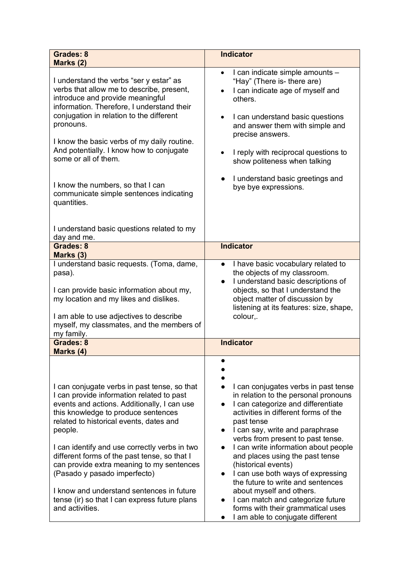| <b>Grades: 8</b><br>Marks (2)                                                                                                                                                                                                                                                                                                                                                                                                                                                                                                        | <b>Indicator</b>                                                                                                                                                                                                                                                                                                                                                                                                                                                                                                                                                                    |
|--------------------------------------------------------------------------------------------------------------------------------------------------------------------------------------------------------------------------------------------------------------------------------------------------------------------------------------------------------------------------------------------------------------------------------------------------------------------------------------------------------------------------------------|-------------------------------------------------------------------------------------------------------------------------------------------------------------------------------------------------------------------------------------------------------------------------------------------------------------------------------------------------------------------------------------------------------------------------------------------------------------------------------------------------------------------------------------------------------------------------------------|
| I understand the verbs "ser y estar" as<br>verbs that allow me to describe, present,<br>introduce and provide meaningful<br>information. Therefore, I understand their<br>conjugation in relation to the different<br>pronouns.<br>I know the basic verbs of my daily routine.<br>And potentially. I know how to conjugate<br>some or all of them.<br>I know the numbers, so that I can<br>communicate simple sentences indicating<br>quantities.                                                                                    | I can indicate simple amounts -<br>$\bullet$<br>"Hay" (There is- there are)<br>I can indicate age of myself and<br>$\bullet$<br>others.<br>I can understand basic questions<br>$\bullet$<br>and answer them with simple and<br>precise answers.<br>I reply with reciprocal questions to<br>$\bullet$<br>show politeness when talking<br>I understand basic greetings and<br>bye bye expressions.                                                                                                                                                                                    |
| I understand basic questions related to my<br>day and me.                                                                                                                                                                                                                                                                                                                                                                                                                                                                            |                                                                                                                                                                                                                                                                                                                                                                                                                                                                                                                                                                                     |
| Grades: 8<br>Marks (3)                                                                                                                                                                                                                                                                                                                                                                                                                                                                                                               | <b>Indicator</b>                                                                                                                                                                                                                                                                                                                                                                                                                                                                                                                                                                    |
| I understand basic requests. (Toma, dame,<br>pasa).<br>I can provide basic information about my,<br>my location and my likes and dislikes.<br>I am able to use adjectives to describe<br>myself, my classmates, and the members of<br>my family.                                                                                                                                                                                                                                                                                     | I have basic vocabulary related to<br>$\bullet$<br>the objects of my classroom.<br>I understand basic descriptions of<br>$\bullet$<br>objects, so that I understand the<br>object matter of discussion by<br>listening at its features: size, shape,<br>colour,.                                                                                                                                                                                                                                                                                                                    |
| Grades: 8<br>Marks (4)                                                                                                                                                                                                                                                                                                                                                                                                                                                                                                               | <b>Indicator</b>                                                                                                                                                                                                                                                                                                                                                                                                                                                                                                                                                                    |
| I can conjugate verbs in past tense, so that<br>I can provide information related to past<br>events and actions. Additionally, I can use<br>this knowledge to produce sentences<br>related to historical events, dates and<br>people.<br>I can identify and use correctly verbs in two<br>different forms of the past tense, so that I<br>can provide extra meaning to my sentences<br>(Pasado y pasado imperfecto)<br>I know and understand sentences in future<br>tense (ir) so that I can express future plans<br>and activities. | I can conjugates verbs in past tense<br>in relation to the personal pronouns<br>I can categorize and differentiate<br>activities in different forms of the<br>past tense<br>I can say, write and paraphrase<br>verbs from present to past tense.<br>I can write information about people<br>and places using the past tense<br>(historical events)<br>I can use both ways of expressing<br>$\bullet$<br>the future to write and sentences<br>about myself and others.<br>I can match and categorize future<br>forms with their grammatical uses<br>I am able to conjugate different |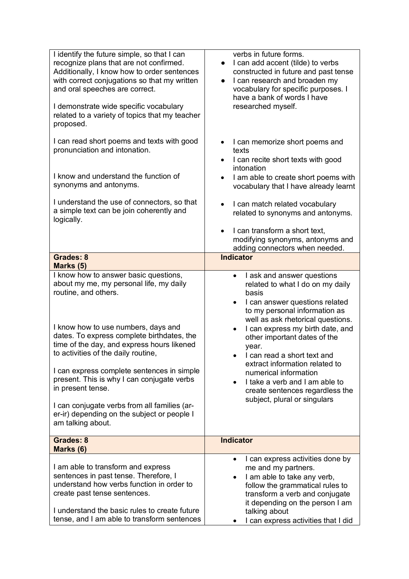| I identify the future simple, so that I can<br>recognize plans that are not confirmed.<br>Additionally, I know how to order sentences<br>with correct conjugations so that my written<br>and oral speeches are correct.<br>I demonstrate wide specific vocabulary<br>related to a variety of topics that my teacher<br>proposed.                                                                                                                                                                                        | verbs in future forms.<br>I can add accent (tilde) to verbs<br>constructed in future and past tense<br>I can research and broaden my<br>$\bullet$<br>vocabulary for specific purposes. I<br>have a bank of words I have<br>researched myself.                                                                                                                                                                                                                                 |
|-------------------------------------------------------------------------------------------------------------------------------------------------------------------------------------------------------------------------------------------------------------------------------------------------------------------------------------------------------------------------------------------------------------------------------------------------------------------------------------------------------------------------|-------------------------------------------------------------------------------------------------------------------------------------------------------------------------------------------------------------------------------------------------------------------------------------------------------------------------------------------------------------------------------------------------------------------------------------------------------------------------------|
| I can read short poems and texts with good<br>pronunciation and intonation.<br>I know and understand the function of<br>synonyms and antonyms.                                                                                                                                                                                                                                                                                                                                                                          | I can memorize short poems and<br>texts<br>I can recite short texts with good<br>$\bullet$<br>intonation<br>I am able to create short poems with<br>$\bullet$<br>vocabulary that I have already learnt                                                                                                                                                                                                                                                                        |
| I understand the use of connectors, so that<br>a simple text can be join coherently and<br>logically.                                                                                                                                                                                                                                                                                                                                                                                                                   | I can match related vocabulary<br>related to synonyms and antonyms.<br>I can transform a short text,<br>$\bullet$<br>modifying synonyms, antonyms and<br>adding connectors when needed.                                                                                                                                                                                                                                                                                       |
| <b>Grades: 8</b><br>Marks (5)                                                                                                                                                                                                                                                                                                                                                                                                                                                                                           | <b>Indicator</b>                                                                                                                                                                                                                                                                                                                                                                                                                                                              |
| I know how to answer basic questions,<br>about my me, my personal life, my daily<br>routine, and others.<br>I know how to use numbers, days and<br>dates. To express complete birthdates, the<br>time of the day, and express hours likened<br>to activities of the daily routine,<br>I can express complete sentences in simple<br>present. This is why I can conjugate verbs<br>in present tense.<br>I can conjugate verbs from all families (ar-<br>er-ir) depending on the subject or people I<br>am talking about. | I ask and answer questions<br>٠<br>related to what I do on my daily<br>basis<br>I can answer questions related<br>$\bullet$<br>to my personal information as<br>well as ask rhetorical questions.<br>I can express my birth date, and<br>other important dates of the<br>year.<br>I can read a short text and<br>extract information related to<br>numerical information<br>I take a verb and I am able to<br>create sentences regardless the<br>subject, plural or singulars |
| <b>Grades: 8</b><br>Marks (6)                                                                                                                                                                                                                                                                                                                                                                                                                                                                                           | <b>Indicator</b>                                                                                                                                                                                                                                                                                                                                                                                                                                                              |
| I am able to transform and express<br>sentences in past tense. Therefore, I<br>understand how verbs function in order to<br>create past tense sentences.<br>I understand the basic rules to create future<br>tense, and I am able to transform sentences                                                                                                                                                                                                                                                                | I can express activities done by<br>$\bullet$<br>me and my partners.<br>I am able to take any verb,<br>follow the grammatical rules to<br>transform a verb and conjugate<br>it depending on the person I am<br>talking about<br>I can express activities that I did                                                                                                                                                                                                           |